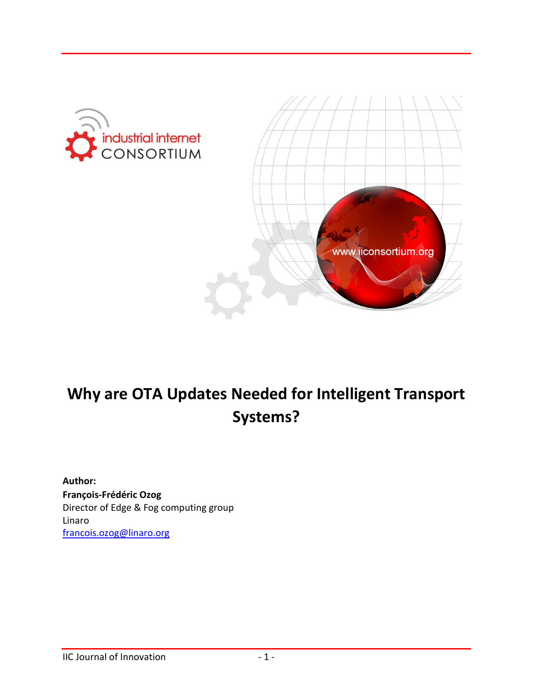



# **Why are OTA Updates Needed for Intelligent Transport Systems?**

**Author: François-Frédéric Ozog** Director of Edge & Fog computing group Linaro [francois.ozog@linaro.org](mailto:francois.ozog@linaro.org)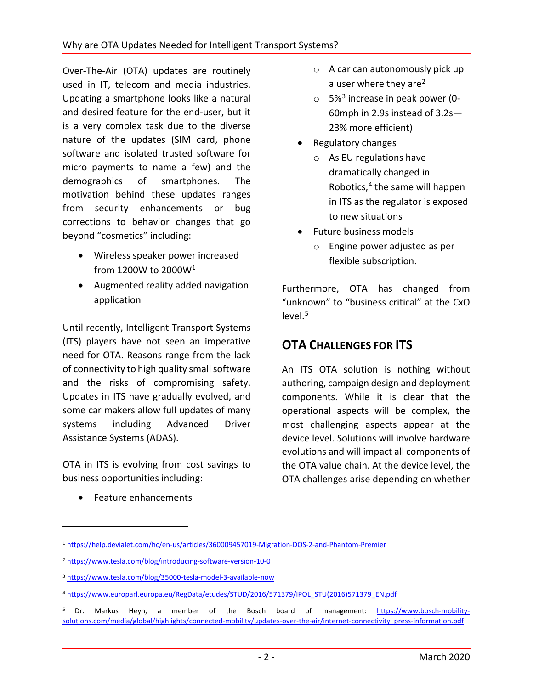Over-The-Air (OTA) updates are routinely used in IT, telecom and media industries. Updating a smartphone looks like a natural and desired feature for the end-user, but it is a very complex task due to the diverse nature of the updates (SIM card, phone software and isolated trusted software for micro payments to name a few) and the demographics of smartphones. The motivation behind these updates ranges from security enhancements or bug corrections to behavior changes that go beyond "cosmetics" including:

- Wireless speaker power increased from 1200W to 2000W[1](#page-1-0)
- Augmented reality added navigation application

Until recently, Intelligent Transport Systems (ITS) players have not seen an imperative need for OTA. Reasons range from the lack of connectivity to high quality small software and the risks of compromising safety. Updates in ITS have gradually evolved, and some car makers allow full updates of many systems including Advanced Driver Assistance Systems (ADAS).

OTA in ITS is evolving from cost savings to business opportunities including:

• Feature enhancements

 $\overline{a}$ 

- $\circ$  A car can autonomously pick up a user where they are<sup>[2](#page-1-1)</sup>
- $\circ$  5%<sup>[3](#page-1-2)</sup> increase in peak power (0-60mph in 2.9s instead of 3.2s— 23% more efficient)
- Regulatory changes
	- o As EU regulations have dramatically changed in Robotics, [4](#page-1-3) the same will happen in ITS as the regulator is exposed to new situations
- Future business models
	- o Engine power adjusted as per flexible subscription.

Furthermore, OTA has changed from "unknown" to "business critical" at the CxO level. [5](#page-1-4)

# **OTA CHALLENGES FOR ITS**

An ITS OTA solution is nothing without authoring, campaign design and deployment components. While it is clear that the operational aspects will be complex, the most challenging aspects appear at the device level. Solutions will involve hardware evolutions and will impact all components of the OTA value chain. At the device level, the OTA challenges arise depending on whether

<span id="page-1-0"></span><sup>1</sup> <https://help.devialet.com/hc/en-us/articles/360009457019-Migration-DOS-2-and-Phantom-Premier>

<span id="page-1-1"></span><sup>2</sup> <https://www.tesla.com/blog/introducing-software-version-10-0>

<span id="page-1-2"></span><sup>3</sup> <https://www.tesla.com/blog/35000-tesla-model-3-available-now>

<span id="page-1-3"></span><sup>4</sup> [https://www.europarl.europa.eu/RegData/etudes/STUD/2016/571379/IPOL\\_STU\(2016\)571379\\_EN.pdf](https://www.europarl.europa.eu/RegData/etudes/STUD/2016/571379/IPOL_STU(2016)571379_EN.pdf)

<span id="page-1-4"></span><sup>5</sup> Dr. Markus Heyn, a member of the Bosch board of management: [https://www.bosch-mobility](https://www.bosch-mobility-solutions.com/media/global/highlights/connected-mobility/updates-over-the-air/internet-connectivity_press-information.pdf)[solutions.com/media/global/highlights/connected-mobility/updates-over-the-air/internet-connectivity\\_press-information.pdf](https://www.bosch-mobility-solutions.com/media/global/highlights/connected-mobility/updates-over-the-air/internet-connectivity_press-information.pdf)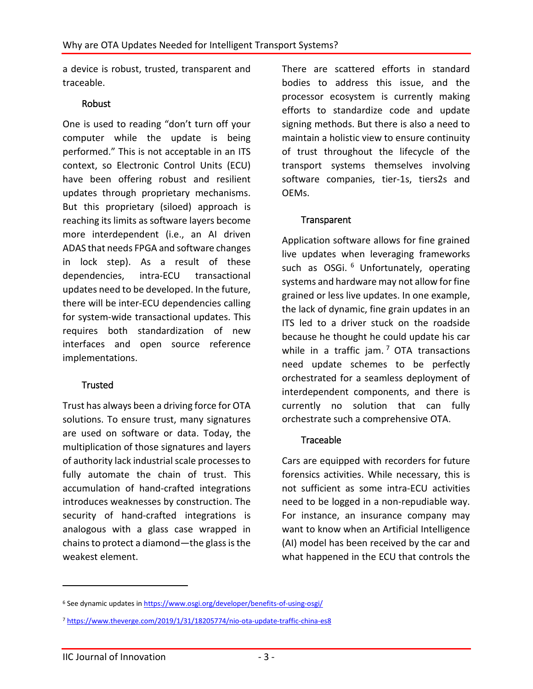a device is robust, trusted, transparent and traceable.

### Robust

One is used to reading "don't turn off your computer while the update is being performed." This is not acceptable in an ITS context, so Electronic Control Units (ECU) have been offering robust and resilient updates through proprietary mechanisms. But this proprietary (siloed) approach is reaching its limits as software layers become more interdependent (i.e., an AI driven ADAS that needs FPGA and software changes in lock step). As a result of these dependencies, intra-ECU transactional updates need to be developed. In the future, there will be inter-ECU dependencies calling for system-wide transactional updates. This requires both standardization of new interfaces and open source reference implementations.

## Trusted

Trust has always been a driving force for OTA solutions. To ensure trust, many signatures are used on software or data. Today, the multiplication of those signatures and layers of authority lack industrial scale processes to fully automate the chain of trust. This accumulation of hand-crafted integrations introduces weaknesses by construction. The security of hand-crafted integrations is analogous with a glass case wrapped in chains to protect a diamond—the glass is the weakest element.

There are scattered efforts in standard bodies to address this issue, and the processor ecosystem is currently making efforts to standardize code and update signing methods. But there is also a need to maintain a holistic view to ensure continuity of trust throughout the lifecycle of the transport systems themselves involving software companies, tier-1s, tiers2s and OEMs.

## **Transparent**

Application software allows for fine grained live updates when leveraging frameworks such as OSGi. <sup>[6](#page-2-0)</sup> Unfortunately, operating systems and hardware may not allow forfine grained or less live updates. In one example, the lack of dynamic, fine grain updates in an ITS led to a driver stuck on the roadside because he thought he could update his car while in a traffic jam.  $7$  OTA transactions need update schemes to be perfectly orchestrated for a seamless deployment of interdependent components, and there is currently no solution that can fully orchestrate such a comprehensive OTA.

### **Traceable**

Cars are equipped with recorders for future forensics activities. While necessary, this is not sufficient as some intra-ECU activities need to be logged in a non-repudiable way. For instance, an insurance company may want to know when an Artificial Intelligence (AI) model has been received by the car and what happened in the ECU that controls the

 $\overline{a}$ 

<span id="page-2-0"></span><sup>&</sup>lt;sup>6</sup> See dynamic updates i[n https://www.osgi.org/developer/benefits-of-using-osgi/](https://www.osgi.org/developer/benefits-of-using-osgi/)

<span id="page-2-1"></span><sup>7</sup> <https://www.theverge.com/2019/1/31/18205774/nio-ota-update-traffic-china-es8>